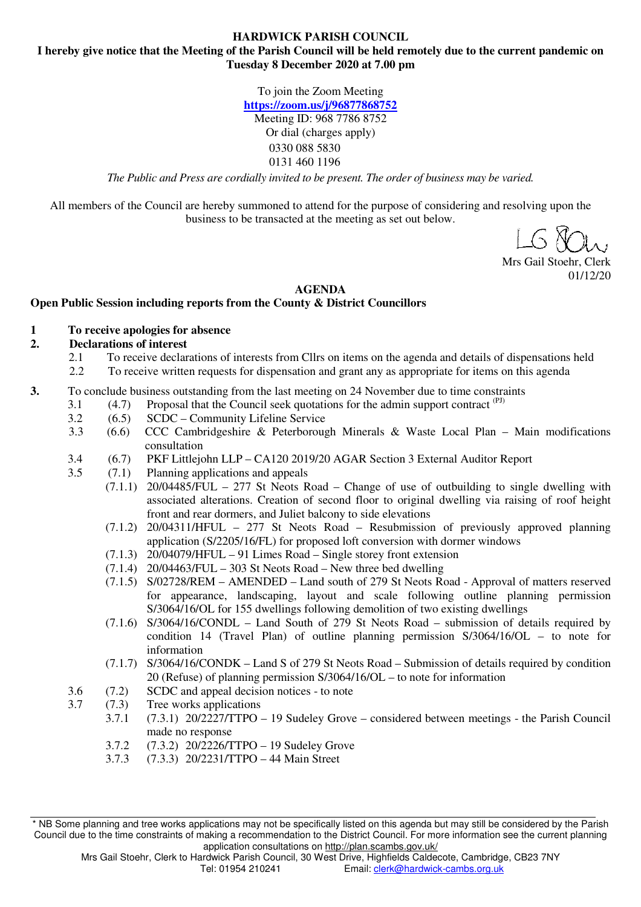#### **HARDWICK PARISH COUNCIL I hereby give notice that the Meeting of the Parish Council will be held remotely due to the current pandemic on Tuesday 8 December 2020 at 7.00 pm**

To join the Zoom Meeting **https://zoom.us/j/96877868752**  Meeting ID: 968 7786 8752 Or dial (charges apply) 0330 088 5830 0131 460 1196

*The Public and Press are cordially invited to be present. The order of business may be varied.* 

All members of the Council are hereby summoned to attend for the purpose of considering and resolving upon the business to be transacted at the meeting as set out below.

Mrs Gail Stoehr, Clerk 01/12/20

#### **AGENDA**

### **Open Public Session including reports from the County & District Councillors**

#### **1 To receive apologies for absence**

#### **2. Declarations of interest**

- 2.1 To receive declarations of interests from Cllrs on items on the agenda and details of dispensations held
- 2.2 To receive written requests for dispensation and grant any as appropriate for items on this agenda
- **3.** To conclude business outstanding from the last meeting on 24 November due to time constraints
	- 3.1  $(4.7)$  Proposal that the Council seek quotations for the admin support contract  $(PI)$ 
		- 3.2 (6.5) SCDC Community Lifeline Service
		- 3.3 (6.6) CCC Cambridgeshire & Peterborough Minerals & Waste Local Plan Main modifications consultation
		- 3.4 (6.7) PKF Littlejohn LLP CA120 2019/20 AGAR Section 3 External Auditor Report
		- 3.5 (7.1) Planning applications and appeals
			- (7.1.1) 20/04485/FUL 277 St Neots Road Change of use of outbuilding to single dwelling with associated alterations. Creation of second floor to original dwelling via raising of roof height front and rear dormers, and Juliet balcony to side elevations
				- (7.1.2) 20/04311/HFUL 277 St Neots Road Resubmission of previously approved planning application (S/2205/16/FL) for proposed loft conversion with dormer windows
				- $(7.1.3)$  20/04079/HFUL 91 Limes Road Single storey front extension
			- $(7.1.4)$  20/04463/FUL 303 St Neots Road New three bed dwelling
			- (7.1.5) S/02728/REM AMENDED Land south of 279 St Neots Road Approval of matters reserved for appearance, landscaping, layout and scale following outline planning permission S/3064/16/OL for 155 dwellings following demolition of two existing dwellings
			- (7.1.6) S/3064/16/CONDL Land South of 279 St Neots Road submission of details required by condition 14 (Travel Plan) of outline planning permission S/3064/16/OL – to note for information
			- (7.1.7) S/3064/16/CONDK Land S of 279 St Neots Road Submission of details required by condition 20 (Refuse) of planning permission S/3064/16/OL – to note for information
		- 3.6 (7.2) SCDC and appeal decision notices to note
		- 3.7 (7.3) Tree works applications
			- 3.7.1 (7.3.1) 20/2227/TTPO 19 Sudeley Grove considered between meetings the Parish Council made no response
			- 3.7.2 (7.3.2) 20/2226/TTPO 19 Sudeley Grove
			- 3.7.3 (7.3.3) 20/2231/TTPO 44 Main Street

<sup>\*</sup> NB Some planning and tree works applications may not be specifically listed on this agenda but may still be considered by the Parish Council due to the time constraints of making a recommendation to the District Council. For more information see the current planning application consultations on http://plan.scambs.gov.uk/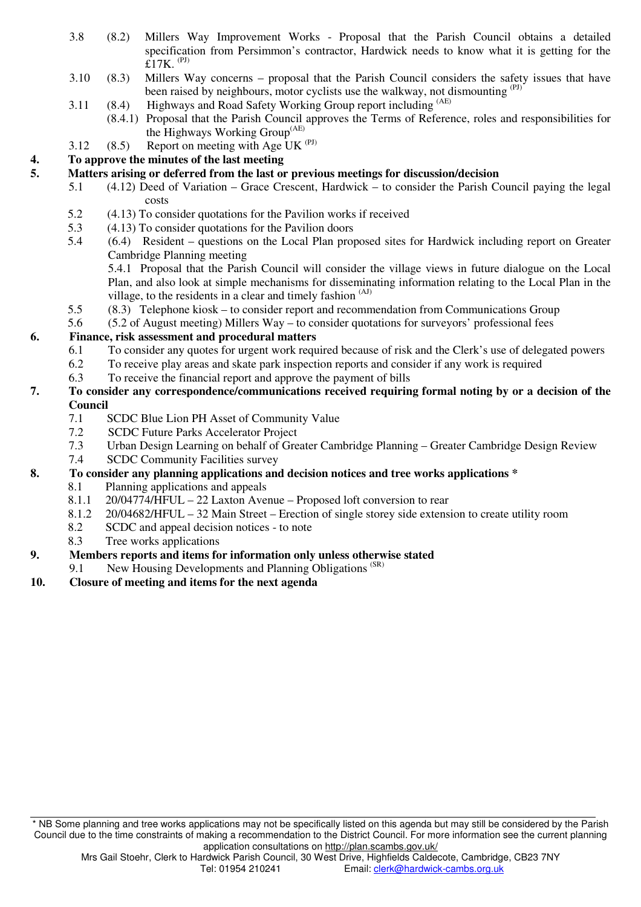- 3.8 (8.2) Millers Way Improvement Works Proposal that the Parish Council obtains a detailed specification from Persimmon's contractor, Hardwick needs to know what it is getting for the  $£17K.$ <sup>(PJ)</sup>
- 3.10 (8.3) Millers Way concerns proposal that the Parish Council considers the safety issues that have been raised by neighbours, motor cyclists use the walkway, not dismounting (PJ)
- 3.11 (8.4) Highways and Road Safety Working Group report including <sup>(AE)</sup>
	- (8.4.1) Proposal that the Parish Council approves the Terms of Reference, roles and responsibilities for the Highways Working Group(AE)
- 3.12 (8.5) Report on meeting with Age UK  $(PJ)$

# **4. To approve the minutes of the last meeting**

## **5. Matters arising or deferred from the last or previous meetings for discussion/decision**

- 5.1 (4.12) Deed of Variation Grace Crescent, Hardwick to consider the Parish Council paying the legal costs
- 5.2 (4.13) To consider quotations for the Pavilion works if received
- 5.3 (4.13) To consider quotations for the Pavilion doors
- 5.4 (6.4) Resident questions on the Local Plan proposed sites for Hardwick including report on Greater Cambridge Planning meeting

5.4.1 Proposal that the Parish Council will consider the village views in future dialogue on the Local Plan, and also look at simple mechanisms for disseminating information relating to the Local Plan in the village, to the residents in a clear and timely fashion <sup>(AJ)</sup>

- 5.5 (8.3) Telephone kiosk to consider report and recommendation from Communications Group
- 5.6 (5.2 of August meeting) Millers Way to consider quotations for surveyors' professional fees

## **6. Finance, risk assessment and procedural matters**

- 6.1 To consider any quotes for urgent work required because of risk and the Clerk's use of delegated powers
- 6.2 To receive play areas and skate park inspection reports and consider if any work is required
- 6.3 To receive the financial report and approve the payment of bills

### **7. To consider any correspondence/communications received requiring formal noting by or a decision of the Council**

- 7.1 SCDC Blue Lion PH Asset of Community Value
- 7.2 SCDC Future Parks Accelerator Project
- 7.3 Urban Design Learning on behalf of Greater Cambridge Planning Greater Cambridge Design Review
- 7.4 SCDC Community Facilities survey
- **8. To consider any planning applications and decision notices and tree works applications \*** 
	- 8.1 Planning applications and appeals
	- 8.1.1 20/04774/HFUL 22 Laxton Avenue Proposed loft conversion to rear
	- 8.1.2 20/04682/HFUL 32 Main Street Erection of single storey side extension to create utility room
	- 8.2 SCDC and appeal decision notices to note
	- 8.3 Tree works applications
- **9. Members reports and items for information only unless otherwise stated** 
	- 9.1 New Housing Developments and Planning Obligations<sup>(SR)</sup>
- **10. Closure of meeting and items for the next agenda**

<sup>\*</sup> NB Some planning and tree works applications may not be specifically listed on this agenda but may still be considered by the Parish Council due to the time constraints of making a recommendation to the District Council. For more information see the current planning application consultations on http://plan.scambs.gov.uk/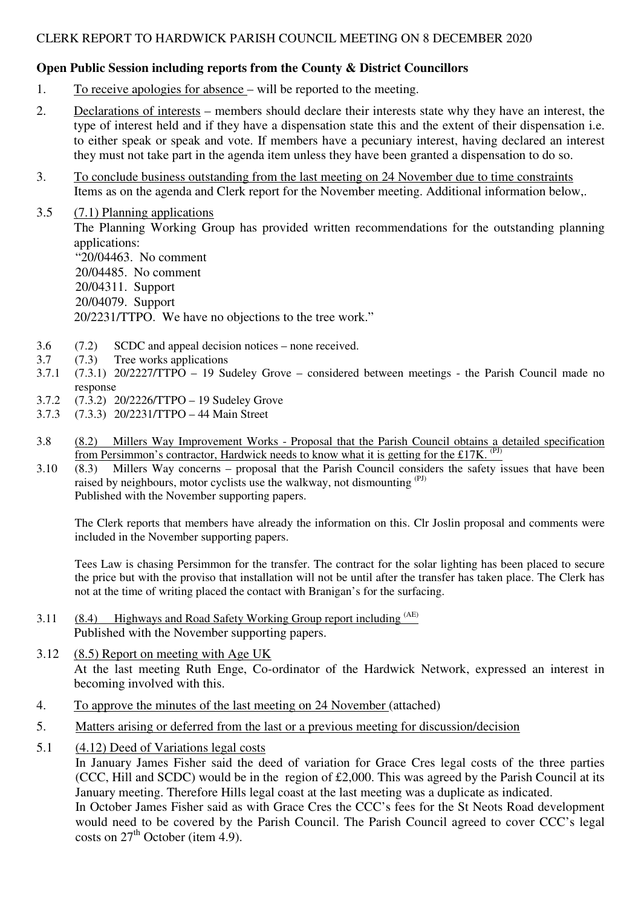# CLERK REPORT TO HARDWICK PARISH COUNCIL MEETING ON 8 DECEMBER 2020

# **Open Public Session including reports from the County & District Councillors**

- 1. To receive apologies for absence will be reported to the meeting.
- 2. Declarations of interests members should declare their interests state why they have an interest, the type of interest held and if they have a dispensation state this and the extent of their dispensation i.e. to either speak or speak and vote. If members have a pecuniary interest, having declared an interest they must not take part in the agenda item unless they have been granted a dispensation to do so.
- 3. To conclude business outstanding from the last meeting on 24 November due to time constraints Items as on the agenda and Clerk report for the November meeting. Additional information below,.
- 3.5 (7.1) Planning applications The Planning Working Group has provided written recommendations for the outstanding planning applications: "20/04463. No comment 20/04485. No comment 20/04311. Support 20/04079. Support 20/2231/TTPO. We have no objections to the tree work."
- 3.6 (7.2) SCDC and appeal decision notices none received.
- 3.7 (7.3) Tree works applications
- 3.7.1 (7.3.1) 20/2227/TTPO 19 Sudeley Grove considered between meetings the Parish Council made no response
- 3.7.2 (7.3.2) 20/2226/TTPO 19 Sudeley Grove
- 3.7.3 (7.3.3) 20/2231/TTPO 44 Main Street
- 3.8 (8.2) Millers Way Improvement Works Proposal that the Parish Council obtains a detailed specification from Persimmon's contractor, Hardwick needs to know what it is getting for the £17K.  $(PJ)$
- 3.10 (8.3) Millers Way concerns proposal that the Parish Council considers the safety issues that have been raised by neighbours, motor cyclists use the walkway, not dismounting  $(PJ)$ Published with the November supporting papers.

The Clerk reports that members have already the information on this. Clr Joslin proposal and comments were included in the November supporting papers.

Tees Law is chasing Persimmon for the transfer. The contract for the solar lighting has been placed to secure the price but with the proviso that installation will not be until after the transfer has taken place. The Clerk has not at the time of writing placed the contact with Branigan's for the surfacing.

- 3.11 (8.4) Highways and Road Safety Working Group report including  $(AE)$ Published with the November supporting papers.
- 3.12 (8.5) Report on meeting with Age UK At the last meeting Ruth Enge, Co-ordinator of the Hardwick Network, expressed an interest in becoming involved with this.
- 4. To approve the minutes of the last meeting on 24 November (attached)
- 5. Matters arising or deferred from the last or a previous meeting for discussion/decision
- 5.1 (4.12) Deed of Variations legal costs

In January James Fisher said the deed of variation for Grace Cres legal costs of the three parties (CCC, Hill and SCDC) would be in the region of £2,000. This was agreed by the Parish Council at its January meeting. Therefore Hills legal coast at the last meeting was a duplicate as indicated.

In October James Fisher said as with Grace Cres the CCC's fees for the St Neots Road development would need to be covered by the Parish Council. The Parish Council agreed to cover CCC's legal costs on  $27<sup>th</sup>$  October (item 4.9).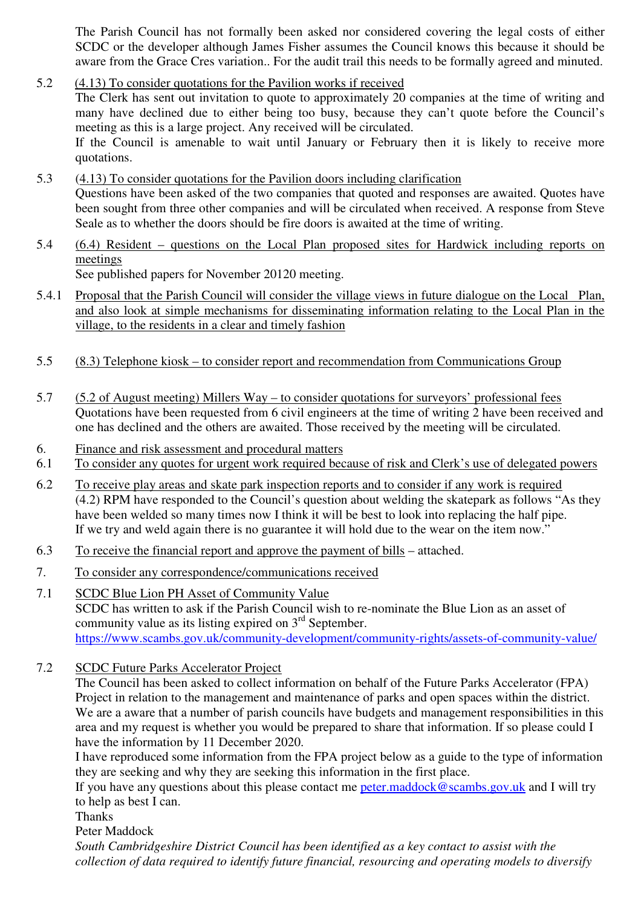The Parish Council has not formally been asked nor considered covering the legal costs of either SCDC or the developer although James Fisher assumes the Council knows this because it should be aware from the Grace Cres variation.. For the audit trail this needs to be formally agreed and minuted.

- 5.2 (4.13) To consider quotations for the Pavilion works if received The Clerk has sent out invitation to quote to approximately 20 companies at the time of writing and many have declined due to either being too busy, because they can't quote before the Council's meeting as this is a large project. Any received will be circulated. If the Council is amenable to wait until January or February then it is likely to receive more quotations.
- 5.3 (4.13) To consider quotations for the Pavilion doors including clarification Questions have been asked of the two companies that quoted and responses are awaited. Quotes have been sought from three other companies and will be circulated when received. A response from Steve Seale as to whether the doors should be fire doors is awaited at the time of writing.
- 5.4 (6.4) Resident questions on the Local Plan proposed sites for Hardwick including reports on meetings See published papers for November 20120 meeting.
- 5.4.1 Proposal that the Parish Council will consider the village views in future dialogue on the Local Plan, and also look at simple mechanisms for disseminating information relating to the Local Plan in the village, to the residents in a clear and timely fashion
- 5.5 (8.3) Telephone kiosk to consider report and recommendation from Communications Group
- 5.7 (5.2 of August meeting) Millers Way to consider quotations for surveyors' professional fees Quotations have been requested from 6 civil engineers at the time of writing 2 have been received and one has declined and the others are awaited. Those received by the meeting will be circulated.
- 6. Finance and risk assessment and procedural matters
- 6.1 To consider any quotes for urgent work required because of risk and Clerk's use of delegated powers
- 6.2 To receive play areas and skate park inspection reports and to consider if any work is required (4.2) RPM have responded to the Council's question about welding the skatepark as follows "As they have been welded so many times now I think it will be best to look into replacing the half pipe. If we try and weld again there is no guarantee it will hold due to the wear on the item now."
- 6.3 To receive the financial report and approve the payment of bills attached.
- 7. To consider any correspondence/communications received
- 7.1 SCDC Blue Lion PH Asset of Community Value SCDC has written to ask if the Parish Council wish to re-nominate the Blue Lion as an asset of community value as its listing expired on  $3<sup>rd</sup>$  September. https://www.scambs.gov.uk/community-development/community-rights/assets-of-community-value/
- 7.2 SCDC Future Parks Accelerator Project

The Council has been asked to collect information on behalf of the Future Parks Accelerator (FPA) Project in relation to the management and maintenance of parks and open spaces within the district. We are a aware that a number of parish councils have budgets and management responsibilities in this area and my request is whether you would be prepared to share that information. If so please could I have the information by 11 December 2020.

I have reproduced some information from the FPA project below as a guide to the type of information they are seeking and why they are seeking this information in the first place.

If you have any questions about this please contact me peter.maddock@scambs.gov.uk and I will try to help as best I can.

Thanks

Peter Maddock

*South Cambridgeshire District Council has been identified as a key contact to assist with the collection of data required to identify future financial, resourcing and operating models to diversify*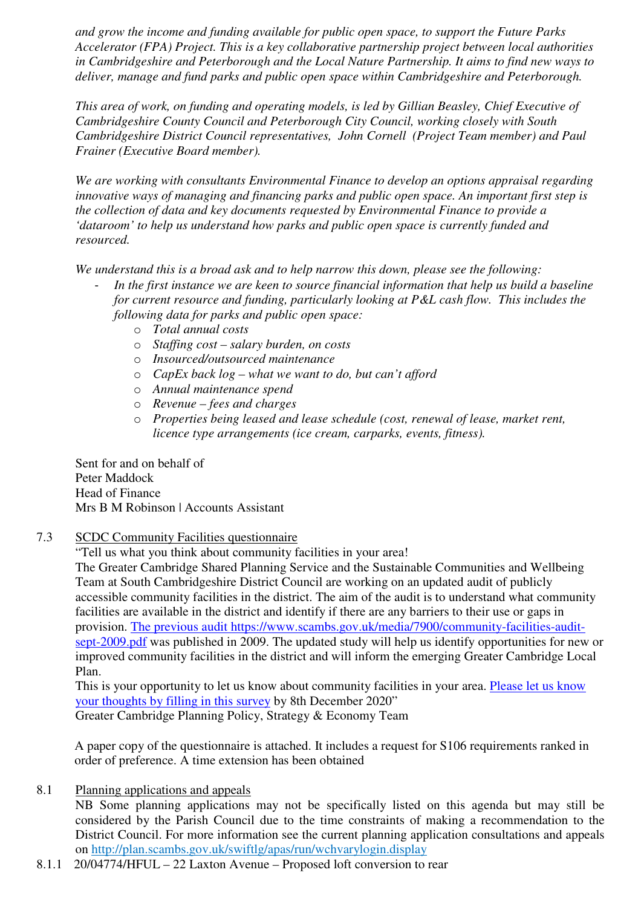*and grow the income and funding available for public open space, to support the Future Parks Accelerator (FPA) Project. This is a key collaborative partnership project between local authorities in Cambridgeshire and Peterborough and the Local Nature Partnership. It aims to find new ways to deliver, manage and fund parks and public open space within Cambridgeshire and Peterborough.* 

*This area of work, on funding and operating models, is led by Gillian Beasley, Chief Executive of Cambridgeshire County Council and Peterborough City Council, working closely with South Cambridgeshire District Council representatives, John Cornell (Project Team member) and Paul Frainer (Executive Board member).* 

*We are working with consultants Environmental Finance to develop an options appraisal regarding innovative ways of managing and financing parks and public open space. An important first step is the collection of data and key documents requested by Environmental Finance to provide a 'dataroom' to help us understand how parks and public open space is currently funded and resourced.* 

*We understand this is a broad ask and to help narrow this down, please see the following:* 

- In the first instance we are keen to source financial information that help us build a baseline *for current resource and funding, particularly looking at P&L cash flow. This includes the following data for parks and public open space:*
	- o *Total annual costs*
	- o *Staffing cost salary burden, on costs*
	- o *Insourced/outsourced maintenance*
	- o *CapEx back log what we want to do, but can't afford*
	- o *Annual maintenance spend*
	- o *Revenue fees and charges*
	- o *Properties being leased and lease schedule (cost, renewal of lease, market rent, licence type arrangements (ice cream, carparks, events, fitness).*

Sent for and on behalf of Peter Maddock Head of Finance Mrs B M Robinson | Accounts Assistant

7.3 SCDC Community Facilities questionnaire

"Tell us what you think about community facilities in your area!

The Greater Cambridge Shared Planning Service and the Sustainable Communities and Wellbeing Team at South Cambridgeshire District Council are working on an updated audit of publicly accessible community facilities in the district. The aim of the audit is to understand what community facilities are available in the district and identify if there are any barriers to their use or gaps in provision. The previous audit https://www.scambs.gov.uk/media/7900/community-facilities-auditsept-2009.pdf was published in 2009. The updated study will help us identify opportunities for new or improved community facilities in the district and will inform the emerging Greater Cambridge Local Plan.

This is your opportunity to let us know about community facilities in your area. Please let us know your thoughts by filling in this survey by 8th December 2020" Greater Cambridge Planning Policy, Strategy & Economy Team

A paper copy of the questionnaire is attached. It includes a request for S106 requirements ranked in order of preference. A time extension has been obtained

8.1 Planning applications and appeals

NB Some planning applications may not be specifically listed on this agenda but may still be considered by the Parish Council due to the time constraints of making a recommendation to the District Council. For more information see the current planning application consultations and appeals on http://plan.scambs.gov.uk/swiftlg/apas/run/wchvarylogin.display

8.1.1 20/04774/HFUL – 22 Laxton Avenue – Proposed loft conversion to rear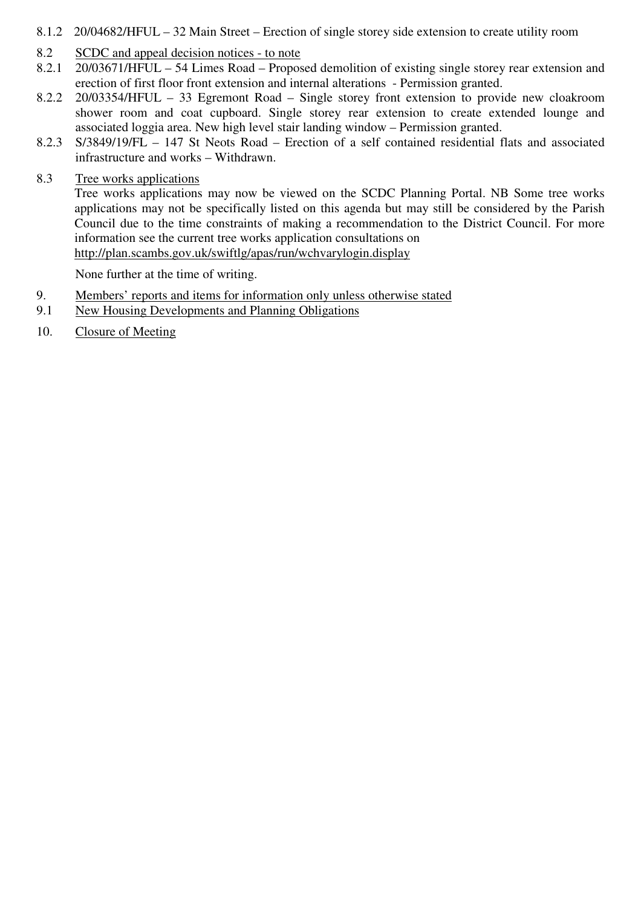- 8.1.2 20/04682/HFUL 32 Main Street Erection of single storey side extension to create utility room
- 8.2 SCDC and appeal decision notices to note
- 8.2.1 20/03671/HFUL 54 Limes Road Proposed demolition of existing single storey rear extension and erection of first floor front extension and internal alterations - Permission granted.
- 8.2.2 20/03354/HFUL 33 Egremont Road Single storey front extension to provide new cloakroom shower room and coat cupboard. Single storey rear extension to create extended lounge and associated loggia area. New high level stair landing window – Permission granted.
- 8.2.3 S/3849/19/FL 147 St Neots Road Erection of a self contained residential flats and associated infrastructure and works – Withdrawn.
- 8.3 Tree works applications

Tree works applications may now be viewed on the SCDC Planning Portal. NB Some tree works applications may not be specifically listed on this agenda but may still be considered by the Parish Council due to the time constraints of making a recommendation to the District Council. For more information see the current tree works application consultations on http://plan.scambs.gov.uk/swiftlg/apas/run/wchvarylogin.display

None further at the time of writing.

- 9. Members' reports and items for information only unless otherwise stated
- 9.1 New Housing Developments and Planning Obligations
- 10. Closure of Meeting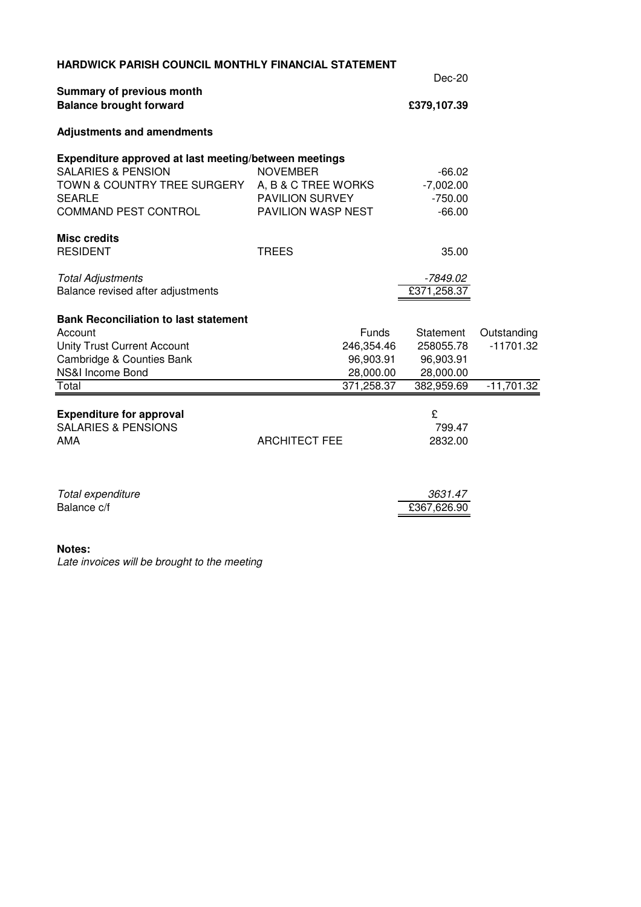| <b>HARDWICK PARISH COUNCIL MONTHLY FINANCIAL STATEMENT</b> |                        |             |              |  |  |
|------------------------------------------------------------|------------------------|-------------|--------------|--|--|
| Summary of previous month                                  | Dec-20                 |             |              |  |  |
| <b>Balance brought forward</b>                             | £379,107.39            |             |              |  |  |
| <b>Adjustments and amendments</b>                          |                        |             |              |  |  |
| Expenditure approved at last meeting/between meetings      |                        |             |              |  |  |
| <b>SALARIES &amp; PENSION</b>                              | <b>NOVEMBER</b>        | $-66.02$    |              |  |  |
| TOWN & COUNTRY TREE SURGERY A, B & C TREE WORKS            |                        | $-7,002.00$ |              |  |  |
| <b>SEARLE</b>                                              | <b>PAVILION SURVEY</b> | $-750.00$   |              |  |  |
| COMMAND PEST CONTROL                                       | PAVILION WASP NEST     | $-66.00$    |              |  |  |
| <b>Misc credits</b>                                        |                        |             |              |  |  |
| <b>RESIDENT</b>                                            | <b>TREES</b>           | 35.00       |              |  |  |
| <b>Total Adjustments</b>                                   |                        | -7849.02    |              |  |  |
| Balance revised after adjustments                          |                        | £371,258.37 |              |  |  |
| <b>Bank Reconciliation to last statement</b>               |                        |             |              |  |  |
| Account                                                    | Funds                  | Statement   | Outstanding  |  |  |
| Unity Trust Current Account                                | 246,354.46             | 258055.78   | $-11701.32$  |  |  |
| Cambridge & Counties Bank                                  | 96,903.91              | 96,903.91   |              |  |  |
| NS&I Income Bond                                           | 28,000.00              | 28,000.00   |              |  |  |
| Total                                                      | 371,258.37             | 382,959.69  | $-11,701.32$ |  |  |
| <b>Expenditure for approval</b>                            |                        | £           |              |  |  |
| <b>SALARIES &amp; PENSIONS</b>                             |                        | 799.47      |              |  |  |
| <b>AMA</b>                                                 | <b>ARCHITECT FEE</b>   | 2832.00     |              |  |  |
|                                                            |                        |             |              |  |  |
| Total expenditure                                          |                        | 3631.47     |              |  |  |
| Balance c/f                                                |                        | £367,626.90 |              |  |  |

### **Notes:**

Late invoices will be brought to the meeting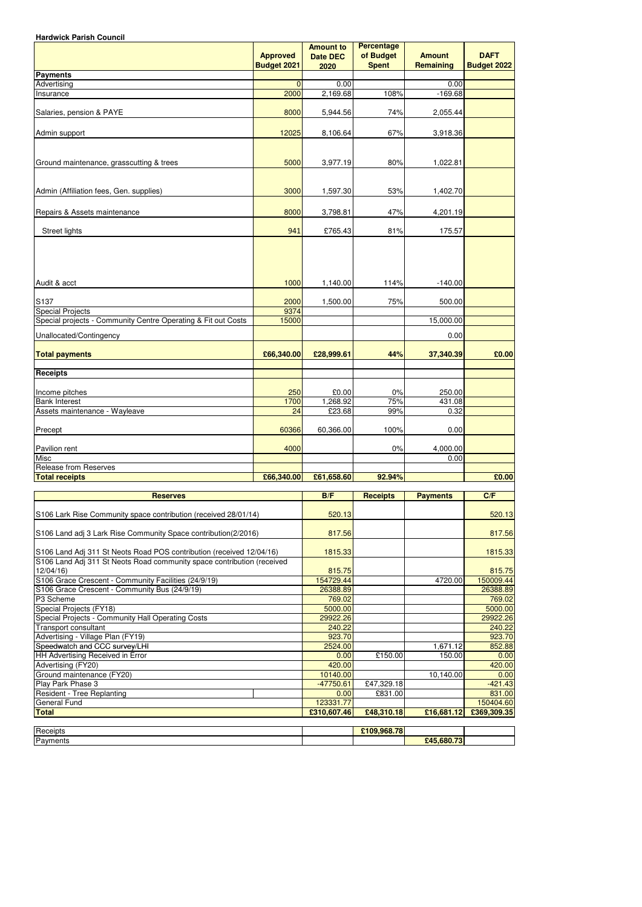| <b>Hardwick Parish Council</b>                                                     |                                       |                                             |                                                |                                   |                                   |
|------------------------------------------------------------------------------------|---------------------------------------|---------------------------------------------|------------------------------------------------|-----------------------------------|-----------------------------------|
|                                                                                    | <b>Approved</b><br><b>Budget 2021</b> | <b>Amount to</b><br><b>Date DEC</b><br>2020 | <b>Percentage</b><br>of Budget<br><b>Spent</b> | <b>Amount</b><br><b>Remaining</b> | <b>DAFT</b><br><b>Budget 2022</b> |
| <b>Payments</b>                                                                    |                                       |                                             |                                                |                                   |                                   |
| Advertising                                                                        | $\overline{0}$                        | 0.00                                        |                                                | 0.00                              |                                   |
| Insurance                                                                          | 2000                                  | 2,169.68                                    | 108%                                           | $-169.68$                         |                                   |
| Salaries, pension & PAYE                                                           | 8000                                  | 5,944.56                                    | 74%                                            | 2,055.44                          |                                   |
| Admin support                                                                      | 12025                                 | 8,106.64                                    | 67%                                            | 3,918.36                          |                                   |
| Ground maintenance, grasscutting & trees                                           | 5000                                  | 3,977.19                                    | 80%                                            | 1,022.81                          |                                   |
|                                                                                    |                                       |                                             |                                                |                                   |                                   |
| Admin (Affiliation fees, Gen. supplies)                                            | 3000                                  | 1,597.30                                    | 53%                                            | 1,402.70                          |                                   |
| Repairs & Assets maintenance                                                       | 8000                                  | 3,798.81                                    | 47%                                            | 4,201.19                          |                                   |
| Street lights                                                                      | 941                                   | £765.43                                     | 81%                                            | 175.57                            |                                   |
| Audit & acct                                                                       | 1000                                  | 1,140.00                                    | 114%                                           | $-140.00$                         |                                   |
| S <sub>137</sub>                                                                   | 2000                                  | 1,500.00                                    | 75%                                            | 500.00                            |                                   |
| <b>Special Projects</b>                                                            | 9374                                  |                                             |                                                |                                   |                                   |
| Special projects - Community Centre Operating & Fit out Costs                      | 15000                                 |                                             |                                                | 15,000.00                         |                                   |
| Unallocated/Contingency                                                            |                                       |                                             |                                                | 0.00                              |                                   |
| <b>Total payments</b>                                                              | £66,340.00                            | £28,999.61                                  | 44%                                            | 37,340.39                         | £0.00                             |
| <b>Receipts</b>                                                                    |                                       |                                             |                                                |                                   |                                   |
| Income pitches                                                                     | 250                                   | £0.00                                       | 0%                                             | 250.00                            |                                   |
| <b>Bank Interest</b>                                                               | 1700                                  | 1,268.92                                    | 75%                                            | 431.08                            |                                   |
| Assets maintenance - Wayleave<br>Precept                                           | 24<br>60366                           | £23.68<br>60,366.00                         | 99%<br>100%                                    | 0.32<br>0.00                      |                                   |
| Pavilion rent                                                                      | 4000                                  |                                             | 0%                                             | 4,000.00                          |                                   |
| <b>Misc</b>                                                                        |                                       |                                             |                                                | 0.00                              |                                   |
| <b>Release from Reserves</b>                                                       |                                       |                                             |                                                |                                   |                                   |
| <b>Total receipts</b>                                                              | £66,340.00                            | £61,658.60                                  | 92.94%                                         |                                   | £0.00                             |
| <b>Reserves</b>                                                                    |                                       | B/F                                         | <b>Receipts</b>                                | <b>Payments</b>                   | C/F                               |
| S106 Lark Rise Community space contribution (received 28/01/14)                    |                                       | 520.13                                      |                                                |                                   | 520.13                            |
| S106 Land adj 3 Lark Rise Community Space contribution(2/2016)                     |                                       | 817.56                                      |                                                |                                   | 817.56                            |
| S106 Land Adj 311 St Neots Road POS contribution (received 12/04/16)               |                                       | 1815.33                                     |                                                |                                   | 1815.33                           |
| S106 Land Adj 311 St Neots Road community space contribution (received<br>12/04/16 |                                       | 815.75                                      |                                                |                                   | 815.75                            |
| S106 Grace Crescent - Community Facilities (24/9/19)                               |                                       | 154729.44                                   |                                                | 4720.00                           | 150009.44                         |
| S106 Grace Crescent - Community Bus (24/9/19)                                      |                                       | 26388.89                                    |                                                |                                   | 26388.89                          |
| P3 Scheme                                                                          |                                       | 769.02<br>5000.00                           |                                                |                                   | 769.02<br>5000.00                 |
| Special Projects (FY18)<br>Special Projects - Community Hall Operating Costs       |                                       | 29922.26                                    |                                                |                                   | 29922.26                          |
| Transport consultant                                                               |                                       | 240.22                                      |                                                |                                   | 240.22                            |
| Advertising - Village Plan (FY19)                                                  |                                       | 923.70                                      |                                                |                                   | 923.70                            |
| Speedwatch and CCC survey/LHI                                                      |                                       | 2524.00                                     |                                                | 1,671.12                          | 852.88                            |
| HH Advertising Received in Error                                                   |                                       | 0.00                                        | £150.00                                        | 150.00                            | 0.00                              |
| Advertising (FY20)                                                                 |                                       | 420.00                                      |                                                |                                   | 420.00                            |

420.00 420.00

10,140.00

| <b>Play Park Phase 3</b>      | $-47750.61$     | £47,329.18 |            | $-421.43$   |
|-------------------------------|-----------------|------------|------------|-------------|
| Resident -<br>Tree Replanting | 0.00            | £831.00    |            | 831.00      |
| General Fund                  | 77<br>123331.77 |            |            | 150404.60   |
| Total                         | £310,607.46     | £48,310.18 | £16,681.12 | £369,309.35 |

| Receipts | $Q$ <sub><math>Q</math></sub> $Q$ $Z$ $Q$<br><b>0100</b> |                            |  |
|----------|----------------------------------------------------------|----------------------------|--|
| Payments |                                                          | <b>£45,680,73</b><br>.00U. |  |

Ground maintenance (FY20)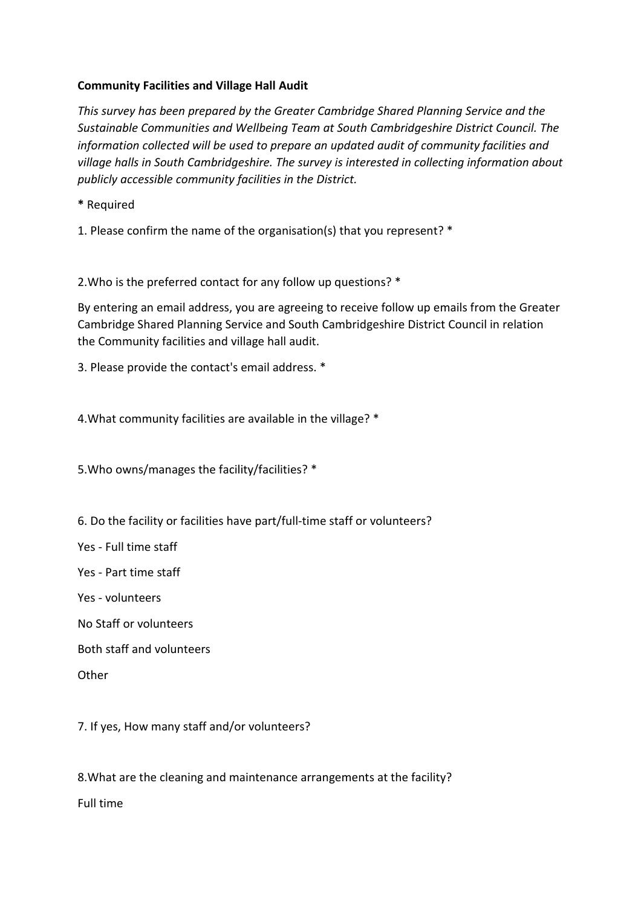# **Community Facilities and Village Hall Audit**

*This survey has been prepared by the Greater Cambridge Shared Planning Service and the Sustainable Communities and Wellbeing Team at South Cambridgeshire District Council. The information collected will be used to prepare an updated audit of community facilities and village halls in South Cambridgeshire. The survey is interested in collecting information about publicly accessible community facilities in the District.* 

**\*** Required

1. Please confirm the name of the organisation(s) that you represent? \*

2.Who is the preferred contact for any follow up questions? \*

By entering an email address, you are agreeing to receive follow up emails from the Greater Cambridge Shared Planning Service and South Cambridgeshire District Council in relation the Community facilities and village hall audit.

3. Please provide the contact's email address. \*

4.What community facilities are available in the village? \*

5.Who owns/manages the facility/facilities? \*

6. Do the facility or facilities have part/full-time staff or volunteers?

Yes - Full time staff

Yes - Part time staff

Yes - volunteers

No Staff or volunteers

Both staff and volunteers

**Other** 

7. If yes, How many staff and/or volunteers?

8.What are the cleaning and maintenance arrangements at the facility?

Full time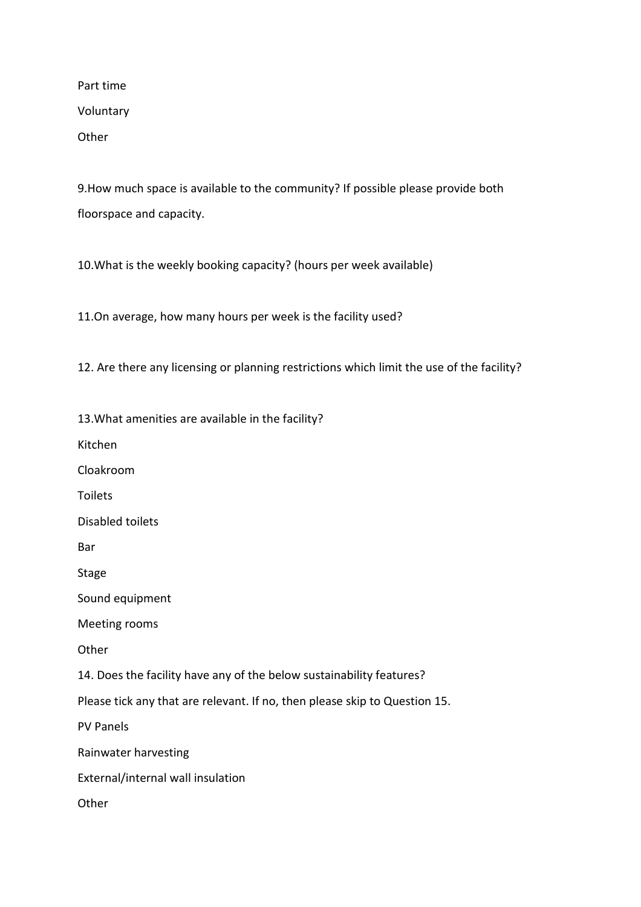Part time Voluntary **Other** 

9.How much space is available to the community? If possible please provide both floorspace and capacity.

10.What is the weekly booking capacity? (hours per week available)

11.On average, how many hours per week is the facility used?

12. Are there any licensing or planning restrictions which limit the use of the facility?

13.What amenities are available in the facility?

Kitchen

Cloakroom

Toilets

Disabled toilets

Bar

Stage

Sound equipment

Meeting rooms

**Other** 

14. Does the facility have any of the below sustainability features?

Please tick any that are relevant. If no, then please skip to Question 15.

PV Panels

Rainwater harvesting

External/internal wall insulation

**Other**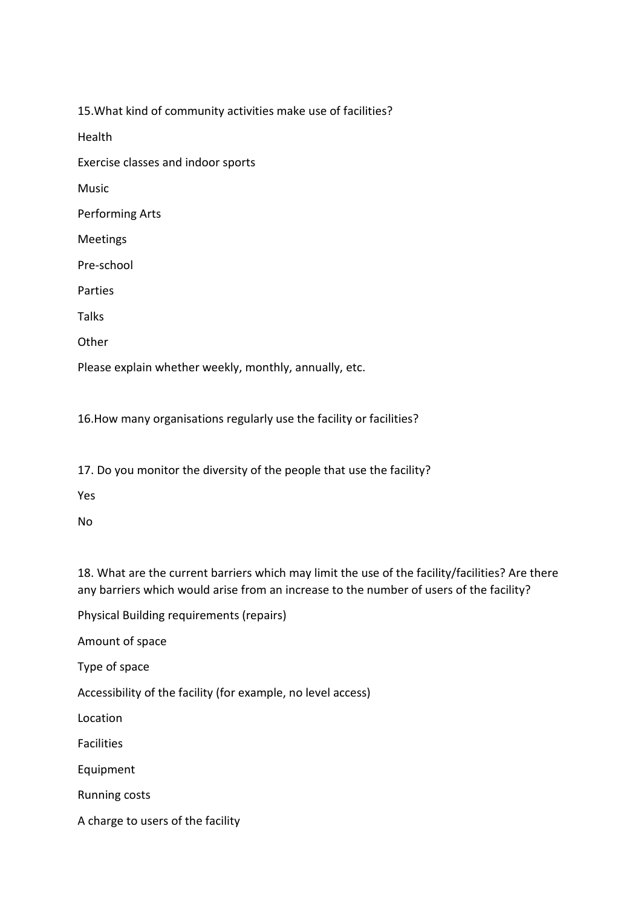15.What kind of community activities make use of facilities?

Health

Exercise classes and indoor sports

Music

Performing Arts

Meetings

Pre-school

Parties

Talks

**Other** 

Please explain whether weekly, monthly, annually, etc.

16.How many organisations regularly use the facility or facilities?

17. Do you monitor the diversity of the people that use the facility?

Yes

No

18. What are the current barriers which may limit the use of the facility/facilities? Are there any barriers which would arise from an increase to the number of users of the facility?

Physical Building requirements (repairs)

Amount of space

Type of space

Accessibility of the facility (for example, no level access)

Location

Facilities

Equipment

Running costs

A charge to users of the facility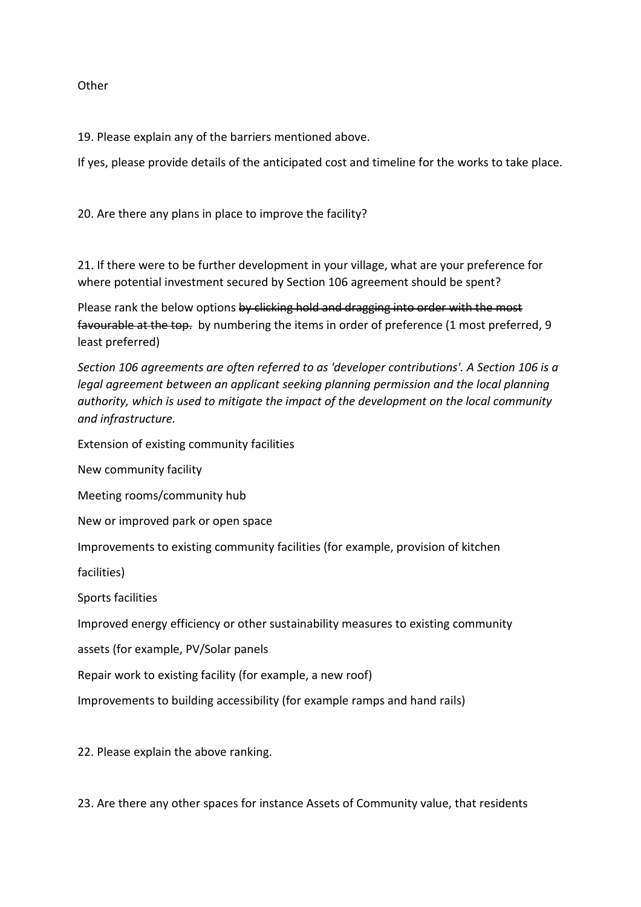**Other** 

19. Please explain any of the barriers mentioned above.

If yes, please provide details of the anticipated cost and timeline for the works to take place.

20. Are there any plans in place to improve the facility?

21. If there were to be further development in your village, what are your preference for where potential investment secured by Section 106 agreement should be spent?

Please rank the below options by clicking hold and dragging into order with the most favourable at the top. by numbering the items in order of preference (1 most preferred, 9 least preferred)

*Section 106 agreements are often referred to as 'developer contributions'. A Section 106 is a legal agreement between an applicant seeking planning permission and the local planning authority, which is used to mitigate the impact of the development on the local community and infrastructure.* 

Extension of existing community facilities

New community facility

Meeting rooms/community hub

New or improved park or open space

Improvements to existing community facilities (for example, provision of kitchen

facilities)

Sports facilities

Improved energy efficiency or other sustainability measures to existing community

assets (for example, PV/Solar panels

Repair work to existing facility (for example, a new roof)

Improvements to building accessibility (for example ramps and hand rails)

22. Please explain the above ranking.

23. Are there any other spaces for instance Assets of Community value, that residents